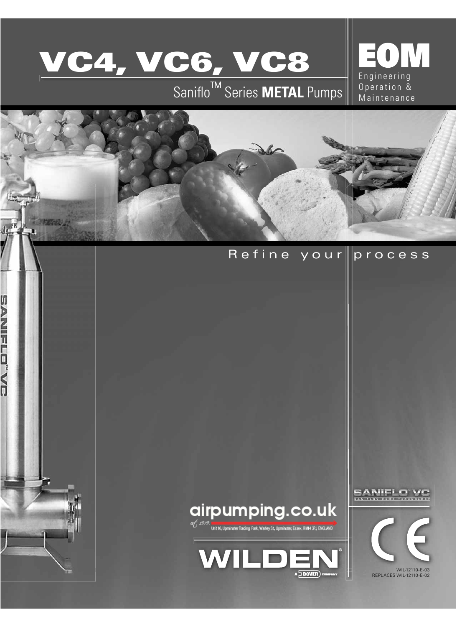

**MARSO** 

**SANNAIR AND AN** 

# Saniflo<sup>™</sup> Series METAL Pumps | Operation &







SANIFLO VI



WIL-12110-E-03 REPLACES WIL-12110-E-02

## Refine your process

Engineering<br>Operation &

EOM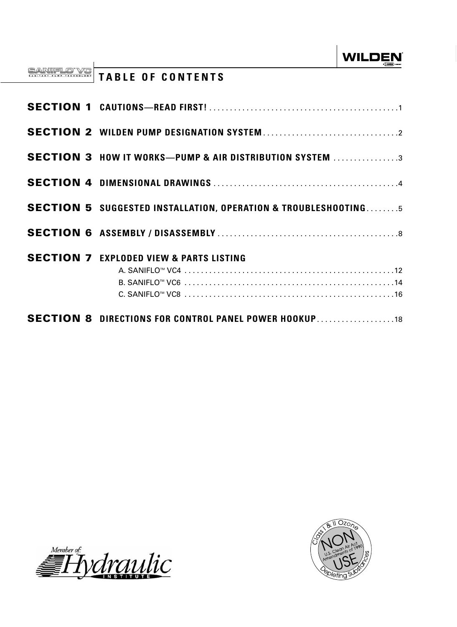# **TABLE OF CONTENTS**

| <b>SECTION 8 DIRECTIONS FOR CONTROL PANEL POWER HOOKUP18</b>              |
|---------------------------------------------------------------------------|
|                                                                           |
| <b>SECTION 7 EXPLODED VIEW &amp; PARTS LISTING</b>                        |
|                                                                           |
| <b>SECTION 5 SUGGESTED INSTALLATION, OPERATION &amp; TROUBLESHOOTING5</b> |
|                                                                           |
| <b>SECTION 3 HOW IT WORKS-PUMP &amp; AIR DISTRIBUTION SYSTEM 3</b>        |
|                                                                           |
|                                                                           |



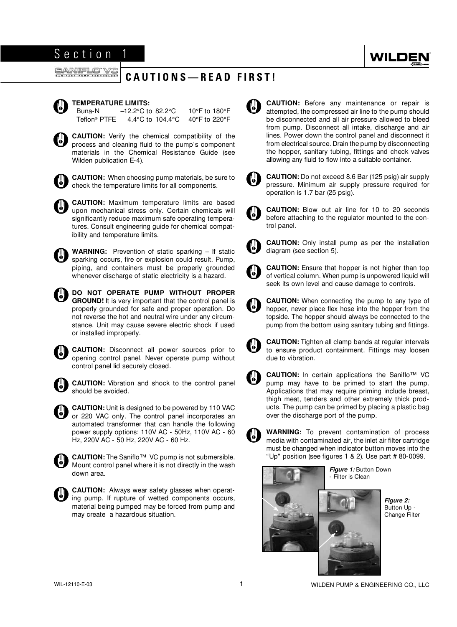## **CAUTIONS—READ FIRST!**

<span id="page-2-0"></span>

### **TEMPERATURE LIMITS:**

 Buna-N –12.2°C to 82.2°C 10°F to 180°F Teflon® PTFE 4.4°C to 104.4°C 40°F to 220°F

**CAUTION:** Verify the chemical compatibility of the process and cleaning fluid to the pump's component materials in the Chemical Resistance Guide (see Wilden publication E-4).



**CAUTION:** When choosing pump materials, be sure to check the temperature limits for all components.

**CAUTION:** Maximum temperature limits are based upon mechanical stress only. Certain chemicals will significantly reduce maximum safe operating temperatures. Consult engineering guide for chemical compatibility and temperature limits.



**WARNING:** Prevention of static sparking – If static sparking occurs, fire or explosion could result. Pump, piping, and containers must be properly grounded whenever discharge of static electricity is a hazard.



or installed improperly.



**CAUTION:** Disconnect all power sources prior to opening control panel. Never operate pump without control panel lid securely closed.



**CAUTION:** Vibration and shock to the control panel should be avoided.

**CAUTION:** Unit is designed to be powered by 110 VAC UD) or 220 VAC only. The control panel incorporates an automated transformer that can handle the following power supply options: 110V AC - 50Hz, 110V AC - 60 Hz, 220V AC - 50 Hz, 220V AC - 60 Hz.



**CAUTION:** The Saniflo™ VC pump is not submersible. Mount control panel where it is not directly in the wash down area.



**CAUTION:** Always wear safety glasses when operating pump. If rupture of wetted components occurs, material being pumped may be forced from pump and may create a hazardous situation.



**CAUTION:** Before any maintenance or repair is attempted, the compressed air line to the pump should be disconnected and all air pressure allowed to bleed from pump. Disconnect all intake, discharge and air lines. Power down the control panel and disconnect it from electrical source. Drain the pump by disconnecting the hopper, sanitary tubing, fittings and check valves allowing any fluid to flow into a suitable container.



**CAUTION:** Do not exceed 8.6 Bar (125 psig) air supply pressure. Minimum air supply pressure required for operation is 1.7 bar (25 psig).

**CAUTION:** Blow out air line for 10 to 20 seconds O, before attaching to the regulator mounted to the control panel.



**CAUTION:** Only install pump as per the installation diagram (see section 5).



**CAUTION:** Ensure that hopper is not higher than top of vertical column. When pump is unpowered liquid will seek its own level and cause damage to controls.

**CAUTION:** When connecting the pump to any type of **AD** hopper, never place flex hose into the hopper from the topside. The hopper should always be connected to the pump from the bottom using sanitary tubing and fittings.



**CAUTION:** Tighten all clamp bands at regular intervals to ensure product containment. Fittings may loosen due to vibration.



**CAUTION:** In certain applications the Saniflo™ VC pump may have to be primed to start the pump. Applications that may require priming include breast, thigh meat, tenders and other extremely thick products. The pump can be primed by placing a plastic bag over the discharge port of the pump.



**WARNING:** To prevent contamination of process media with contaminated air, the inlet air filter cartridge must be changed when indicator button moves into the "Up" position (see figures 1 & 2). Use part # 80-0099.



*Figure 1:* Button Down Filter is Clean

> *Figure 2:*  Button Up - Change Filter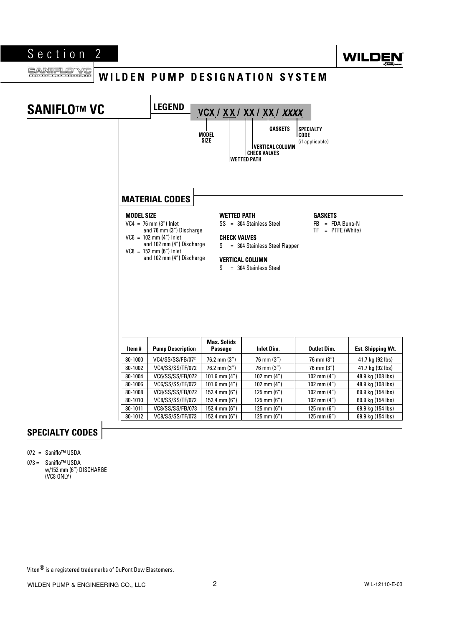

### <span id="page-3-0"></span>SANIFLO VC **WILDEN PUMP DESIGNATION SYSTEM**



## **SPECIALTY CODES**

- 072 = Saniflo™ USDA
- 073 = Saniflo™ USDA w/152 mm (6") DISCHARGE (VC8 ONLY)

Viton<sup>®</sup> is a registered trademarks of DuPont Dow Elastomers.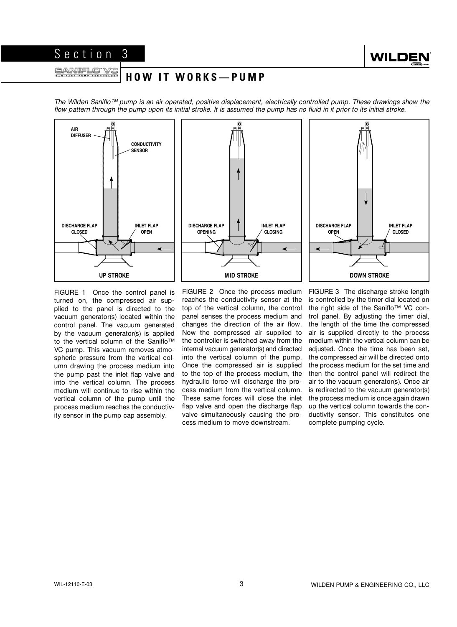<span id="page-4-0"></span>externe or vt <u>SANIFLO VC</u>

## **H O W I T W O R K S — P U M P**

The Wilden Saniflo™ pump is an air operated, positive displacement, electrically controlled pump. These drawings show the flow pattern through the pump upon its initial stroke. It is assumed the pump has no fluid in it prior to its initial stroke.



FIGURE 1 Once the control panel is turned on, the compressed air supplied to the panel is directed to the vacuum generator(s) located within the control panel. The vacuum generated by the vacuum generator(s) is applied to the vertical column of the Saniflo™ VC pump. This vacuum removes atmospheric pressure from the vertical column drawing the process medium into the pump past the inlet flap valve and into the vertical column. The process medium will continue to rise within the vertical column of the pump until the process medium reaches the conductivity sensor in the pump cap assembly.

FIGURE 2 Once the process medium reaches the conductivity sensor at the top of the vertical column, the control panel senses the process medium and changes the direction of the air flow. Now the compressed air supplied to the controller is switched away from the internal vacuum generator(s) and directed into the vertical column of the pump. Once the compressed air is supplied to the top of the process medium, the hydraulic force will discharge the process medium from the vertical column. These same forces will close the inlet flap valve and open the discharge flap valve simultaneously causing the process medium to move downstream.

FIGURE 3 The discharge stroke length is controlled by the timer dial located on the right side of the Saniflo™ VC control panel. By adjusting the timer dial, the length of the time the compressed air is supplied directly to the process medium within the vertical column can be adjusted. Once the time has been set, the compressed air will be directed onto the process medium for the set time and then the control panel will redirect the air to the vacuum generator(s). Once air is redirected to the vacuum generator(s) the process medium is once again drawn up the vertical column towards the conductivity sensor. This constitutes one complete pumping cycle.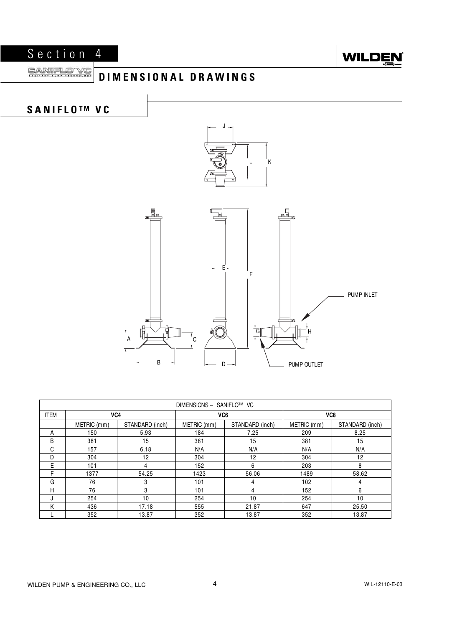<span id="page-5-0"></span>



### SANIFLO VC **DIMENSIONAL DRAWINGS**



| DIMENSIONS - SANIFLO™ VC |             |                 |                 |                 |             |                 |
|--------------------------|-------------|-----------------|-----------------|-----------------|-------------|-----------------|
| <b>ITEM</b>              | VC4         |                 | VC <sub>6</sub> |                 | VC8         |                 |
|                          | METRIC (mm) | STANDARD (inch) | METRIC (mm)     | STANDARD (inch) | METRIC (mm) | STANDARD (inch) |
| A                        | 150         | 5.93            | 184             | 7.25            | 209         | 8.25            |
| B                        | 381         | 15              | 381             | 15              | 381         | 15              |
| C                        | 157         | 6.18            | N/A             | N/A             | N/A         | N/A             |
| D                        | 304         | 12              | 304             | 12              | 304         | 12              |
| E                        | 101         | 4               | 152             | 6               | 203         | 8               |
| F                        | 1377        | 54.25           | 1423            | 56.06           | 1489        | 58.62           |
| G                        | 76          | 3               | 101             | 4               | 102         | 4               |
| н                        | 76          | 3               | 101             | 4               | 152         | 6               |
| J                        | 254         | 10              | 254             | 10              | 254         | 10              |
| K                        | 436         | 17.18           | 555             | 21.87           | 647         | 25.50           |
|                          | 352         | 13.87           | 352             | 13.87           | 352         | 13.87           |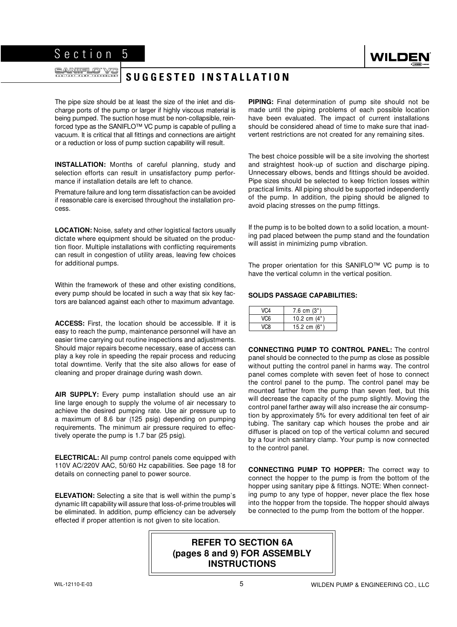## **SUGGESTED INSTALLATION**

The pipe size should be at least the size of the inlet and discharge ports of the pump or larger if highly viscous material is being pumped. The suction hose must be non-collapsible, reinforced type as the SANIFLO™ VC pump is capable of pulling a vacuum. It is critical that all fittings and connections are airtight or a reduction or loss of pump suction capability will result.

<span id="page-6-0"></span>Section 5

**INSTALLATION:** Months of careful planning, study and selection efforts can result in unsatisfactory pump performance if installation details are left to chance.

Premature failure and long term dissatisfaction can be avoided if reasonable care is exercised throughout the installation process.

**LOCATION:** Noise, safety and other logistical factors usually dictate where equipment should be situated on the production floor. Multiple installations with conflicting requirements can result in congestion of utility areas, leaving few choices for additional pumps.

Within the framework of these and other existing conditions, every pump should be located in such a way that six key factors are balanced against each other to maximum advantage.

**ACCESS:** First, the location should be accessible. If it is easy to reach the pump, maintenance personnel will have an easier time carrying out routine inspections and adjustments. Should major repairs become necessary, ease of access can play a key role in speeding the repair process and reducing total downtime. Verify that the site also allows for ease of cleaning and proper drainage during wash down.

**AIR SUPPLY:** Every pump installation should use an air line large enough to supply the volume of air necessary to achieve the desired pumping rate. Use air pressure up to a maximum of 8.6 bar (125 psig) depending on pumping requirements. The minimum air pressure required to effectively operate the pump is 1.7 bar (25 psig).

**ELECTRICAL:** All pump control panels come equipped with 110V AC/220V AAC, 50/60 Hz capabilities. See page 18 for details on connecting panel to power source.

**ELEVATION:** Selecting a site that is well within the pump's dynamic lift capability will assure that loss-of-prime troubles will be eliminated. In addition, pump efficiency can be adversely effected if proper attention is not given to site location.

**PIPING:** Final determination of pump site should not be made until the piping problems of each possible location have been evaluated. The impact of current installations should be considered ahead of time to make sure that inadvertent restrictions are not created for any remaining sites.

The best choice possible will be a site involving the shortest and straightest hook-up of suction and discharge piping. Unnecessary elbows, bends and fittings should be avoided. Pipe sizes should be selected to keep friction losses within practical limits. All piping should be supported independently of the pump. In addition, the piping should be aligned to avoid placing stresses on the pump fittings.

If the pump is to be bolted down to a solid location, a mounting pad placed between the pump stand and the foundation will assist in minimizing pump vibration.

The proper orientation for this SANIFLO™ VC pump is to have the vertical column in the vertical position.

#### **SOLIDS PASSAGE CAPABILITIES:**

| VC4 | $7.6$ cm $(3")$ |
|-----|-----------------|
| VC6 | 10.2 cm $(4")$  |
| VC8 | 15.2 cm $(6")$  |

**CONNECTING PUMP TO CONTROL PANEL:** The control panel should be connected to the pump as close as possible without putting the control panel in harms way. The control panel comes complete with seven feet of hose to connect the control panel to the pump. The control panel may be mounted farther from the pump than seven feet, but this will decrease the capacity of the pump slightly. Moving the control panel farther away will also increase the air consumption by approximately 5% for every additional ten feet of air tubing. The sanitary cap which houses the probe and air diffuser is placed on top of the vertical column and secured by a four inch sanitary clamp. Your pump is now connected to the control panel.

**CONNECTING PUMP TO HOPPER:** The correct way to connect the hopper to the pump is from the bottom of the hopper using sanitary pipe & fittings. NOTE: When connecting pump to any type of hopper, never place the flex hose into the hopper from the topside. The hopper should always be connected to the pump from the bottom of the hopper.

## **REFER TO SECTION 6A (pages 8 and 9) FOR ASSEMBLY INSTRUCTIONS**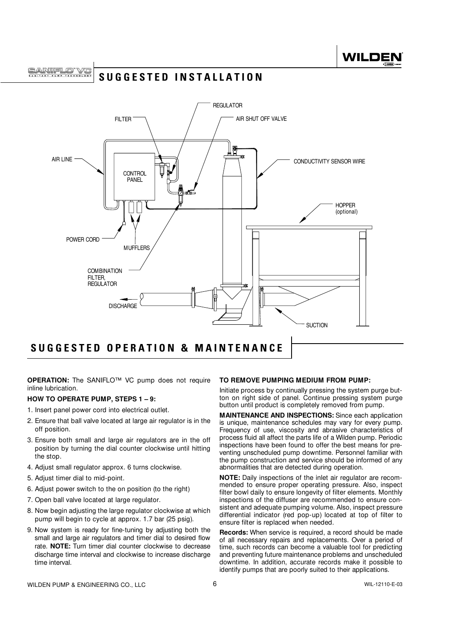**SUGGESTED INSTALLATION**



## **SUGGESTED OPERATION & MAINTENANCE**

**OPERATION:** The SANIFLO™ VC pump does not require inline lubrication.

#### **HOW TO OPERATE PUMP, STEPS 1 – 9:**

- 1. Insert panel power cord into electrical outlet.
- 2. Ensure that ball valve located at large air regulator is in the off position.
- 3. Ensure both small and large air regulators are in the off position by turning the dial counter clockwise until hitting the stop.
- 4. Adjust small regulator approx. 6 turns clockwise.
- 5. Adjust timer dial to mid-point.
- 6. Adjust power switch to the on position (to the right)
- 7. Open ball valve located at large regulator.
- 8. Now begin adjusting the large regulator clockwise at which pump will begin to cycle at approx. 1.7 bar (25 psig).
- 9. Now system is ready for fine-tuning by adjusting both the small and large air regulators and timer dial to desired flow rate. **NOTE:** Turn timer dial counter clockwise to decrease discharge time interval and clockwise to increase discharge time interval.

#### **TO REMOVE PUMPING MEDIUM FROM PUMP:**

Initiate process by continually pressing the system purge button on right side of panel. Continue pressing system purge button until product is completely removed from pump.

**MAINTENANCE AND INSPECTIONS:** Since each application is unique, maintenance schedules may vary for every pump. Frequency of use, viscosity and abrasive characteristics of process fluid all affect the parts life of a Wilden pump. Periodic inspections have been found to offer the best means for preventing unscheduled pump downtime. Personnel familiar with the pump construction and service should be informed of any abnormalities that are detected during operation.

**NOTE:** Daily inspections of the inlet air regulator are recommended to ensure proper operating pressure. Also, inspect filter bowl daily to ensure longevity of filter elements. Monthly inspections of the diffuser are recommended to ensure consistent and adequate pumping volume. Also, inspect pressure differential indicator (red pop-up) located at top of filter to ensure filter is replaced when needed.

**Records:** When service is required, a record should be made of all necessary repairs and replacements. Over a period of time, such records can become a valuable tool for predicting and preventing future maintenance problems and unscheduled downtime. In addition, accurate records make it possible to identify pumps that are poorly suited to their applications.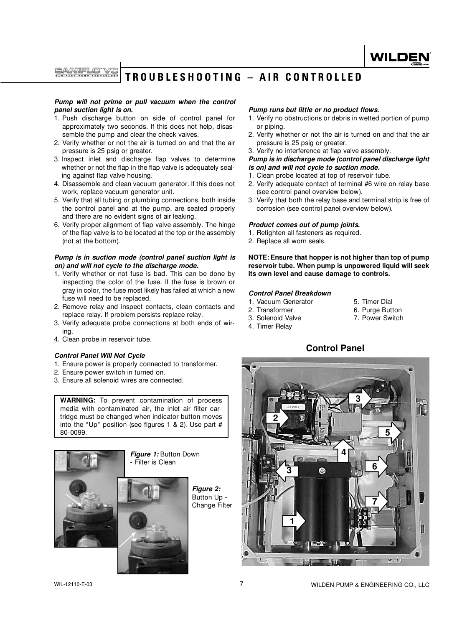A RIIEL CO

## **TROUBLESHOOTING – AIR CONTROLLED**

#### *Pump will not prime or pull vacuum when the control panel suction light is on.*

- 1. Push discharge button on side of control panel for approximately two seconds. If this does not help, disassemble the pump and clear the check valves.
- 2. Verify whether or not the air is turned on and that the air pressure is 25 psig or greater.
- 3. Inspect inlet and discharge flap valves to determine whether or not the flap in the flap valve is adequately sealing against flap valve housing.
- 4. Disassemble and clean vacuum generator. If this does not work, replace vacuum generator unit.
- 5. Verify that all tubing or plumbing connections, both inside the control panel and at the pump, are seated properly and there are no evident signs of air leaking.
- 6. Verify proper alignment of flap valve assembly. The hinge of the flap valve is to be located at the top or the assembly (not at the bottom).

#### *Pump is in suction mode (control panel suction light is on) and will not cycle to the discharge mode.*

- 1. Verify whether or not fuse is bad. This can be done by inspecting the color of the fuse. If the fuse is brown or gray in color, the fuse most likely has failed at which a new fuse will need to be replaced.
- 2. Remove relay and inspect contacts, clean contacts and replace relay. If problem persists replace relay.
- 3. Verify adequate probe connections at both ends of wiring.
- 4. Clean probe in reservoir tube.

#### *Control Panel Will Not Cycle*

- 1. Ensure power is properly connected to transformer.
- 2. Ensure power switch in turned on.
- 3. Ensure all solenoid wires are connected.

**WARNING:** To prevent contamination of process media with contaminated air, the inlet air filter cartridge must be changed when indicator button moves into the "Up" position (see figures 1 & 2). Use part # 80-0099.





*Figure 2:*  Button Up - Change Filter

#### *Pump runs but little or no product flows.*

1. Verify no obstructions or debris in wetted portion of pump or piping.

WILDE

- 2. Verify whether or not the air is turned on and that the air pressure is 25 psig or greater.
- 3. Verify no interference at flap valve assembly.

#### *Pump is in discharge mode (control panel discharge light is on) and will not cycle to suction mode.*

- 1. Clean probe located at top of reservoir tube.
- 2. Verify adequate contact of terminal #6 wire on relay base (see control panel overview below).
- 3. Verify that both the relay base and terminal strip is free of corrosion (see control panel overview below).

#### *Product comes out of pump joints.*

- 1. Retighten all fasteners as required.
- 2. Replace all worn seals.

**NOTE: Ensure that hopper is not higher than top of pump reservoir tube. When pump is unpowered liquid will seek its own level and cause damage to controls.**

#### *Control Panel Breakdown*

- 1. Vacuum Generator 5. Timer Dial
	-
- 2. Transformer 6. Purge Button<br>3. Solenoid Valve 5. The Mark 7. Power Switch
- 3. Solenoid Valve 4. Timer Relay
- **Control Panel**

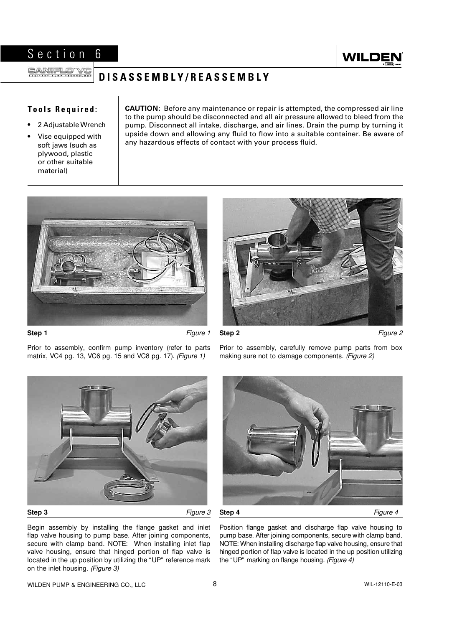

## <span id="page-9-0"></span>**DISASSEMBLY/REASSEMBLY**

## **Tools Required:**

- 2 Adjustable Wrench
- Vise equipped with soft jaws (such as plywood, plastic or other suitable material)

**CAUTION:** Before any maintenance or repair is attempted, the compressed air line to the pump should be disconnected and all air pressure allowed to bleed from the pump. Disconnect all intake, discharge, and air lines. Drain the pump by turning it upside down and allowing any fluid to flow into a suitable container. Be aware of any hazardous effects of contact with your process fluid.





**Step 2** Figure 2

Prior to assembly, confirm pump inventory (refer to parts matrix, VC4 pg. 13, VC6 pg. 15 and VC8 pg. 17). (Figure 1)

Prior to assembly, carefully remove pump parts from box making sure not to damage components. (Figure 2)









**Step 4** Figure 4

Begin assembly by installing the flange gasket and inlet flap valve housing to pump base. After joining components, secure with clamp band. NOTE: When installing inlet flap valve housing, ensure that hinged portion of flap valve is located in the up position by utilizing the "UP" reference mark on the inlet housing. (Figure 3)

Position flange gasket and discharge flap valve housing to pump base. After joining components, secure with clamp band. NOTE: When installing discharge flap valve housing, ensure that hinged portion of flap valve is located in the up position utilizing the "UP" marking on flange housing. (Figure 4)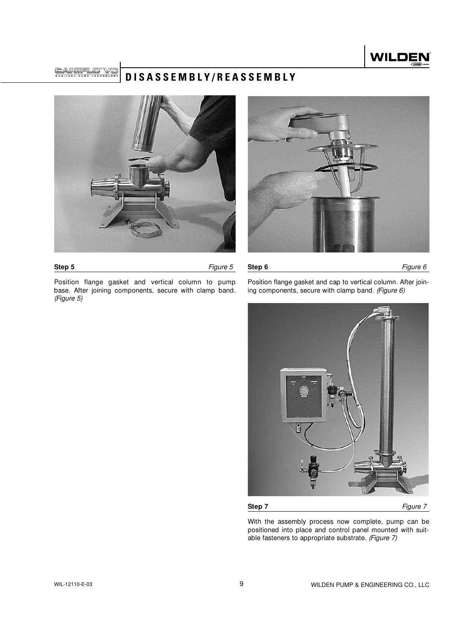

**SANIEL O** 

## **DISASSEMBLY/REASSEMBLY**





**Step 5 Figure 5** 

Position flange gasket and vertical column to pump base. After joining components, secure with clamp band. (Figure 5)

Position flange gasket and cap to vertical column. After joining components, secure with clamp band. (Figure  $6$ )

**Step 6 Figure 6** 



**Step 7** Figure 7

With the assembly process now complete, pump can be positioned into place and control panel mounted with suitable fasteners to appropriate substrate. (Figure 7)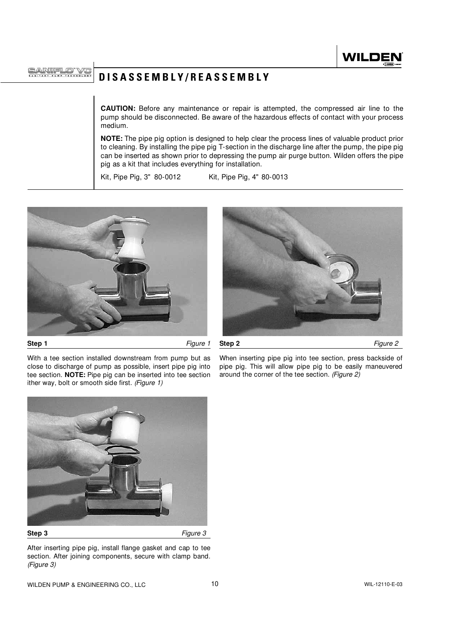**ANIFLO** 

**DISASSEMBLY/REASSEMBLY**

**CAUTION:** Before any maintenance or repair is attempted, the compressed air line to the pump should be disconnected. Be aware of the hazardous effects of contact with your process medium.

**NOTE:** The pipe pig option is designed to help clear the process lines of valuable product prior to cleaning. By installing the pipe pig T-section in the discharge line after the pump, the pipe pig can be inserted as shown prior to depressing the pump air purge button. Wilden offers the pipe pig as a kit that includes everything for installation.

Kit, Pipe Pig, 3" 80-0012 Kit, Pipe Pig, 4" 80-0013







With a tee section installed downstream from pump but as close to discharge of pump as possible, insert pipe pig into tee section. **NOTE:** Pipe pig can be inserted into tee section ither way, bolt or smooth side first. (Figure 1)

When inserting pipe pig into tee section, press backside of pipe pig. This will allow pipe pig to be easily maneuvered around the corner of the tee section. (Figure 2)



After inserting pipe pig, install flange gasket and cap to tee section. After joining components, secure with clamp band. (Figure 3)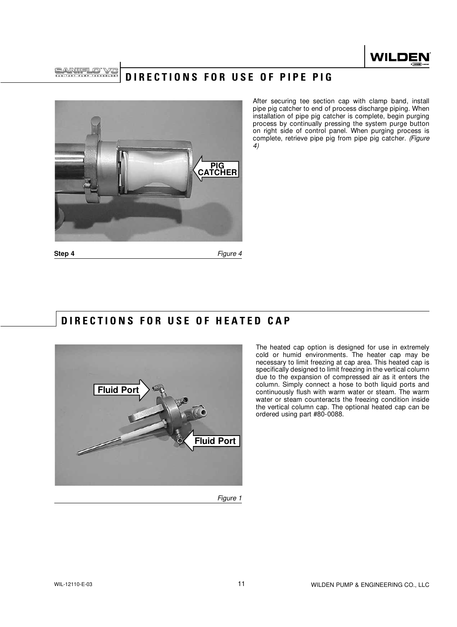

**BARTELOT** 

## **DIRECTIONS FOR USE OF PIPE PIG**



After securing tee section cap with clamp band, install pipe pig catcher to end of process discharge piping. When installation of pipe pig catcher is complete, begin purging process by continually pressing the system purge button on right side of control panel. When purging process is complete, retrieve pipe pig from pipe pig catcher. (Figure 4)

**Step 4 Figure 4** 

## **DIRECTIONS FOR USE OF HEATED CAP**



The heated cap option is designed for use in extremely cold or humid environments. The heater cap may be necessary to limit freezing at cap area. This heated cap is specifically designed to limit freezing in the vertical column due to the expansion of compressed air as it enters the column. Simply connect a hose to both liquid ports and continuously flush with warm water or steam. The warm water or steam counteracts the freezing condition inside the vertical column cap. The optional heated cap can be ordered using part #80-0088.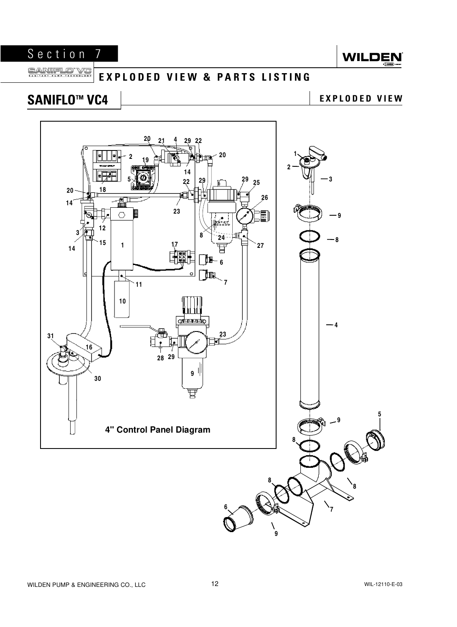

#### <span id="page-13-0"></span>SANIFLO<sup>\*</sup> **IIIELO VC EXPLODED VIEW & PARTS LISTING**

# SANIFLO<sup>™</sup> VC4 **LEADED VIEW** EXPLODED VIEW

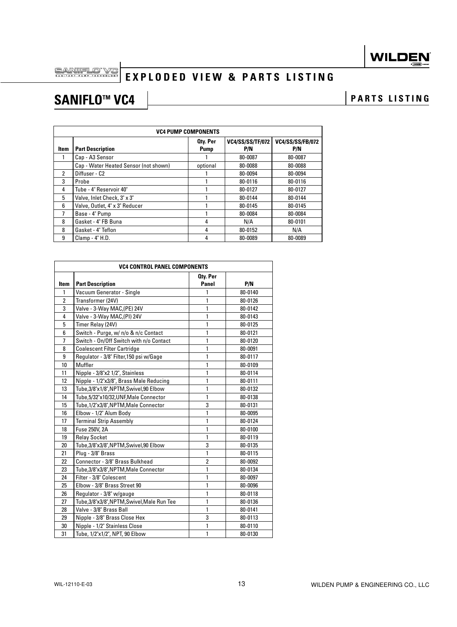# **EXPLODED VIEW & PARTS LISTING**

# SANIFLO<sup>™</sup> VC4 **PARTS** LISTING

|      | <b>VC4 PUMP COMPONENTS</b>            |                         |                                |                                |  |  |
|------|---------------------------------------|-------------------------|--------------------------------|--------------------------------|--|--|
| ltem | <b>Part Description</b>               | Oty. Per<br><b>Pump</b> | <b>VC4/SS/SS/TF/072</b><br>P/N | <b>VC4/SS/SS/FB/072</b><br>P/N |  |  |
|      | Cap - A3 Sensor                       |                         | 80-0087                        | 80-0087                        |  |  |
|      | Cap - Water Heated Sensor (not shown) | optional                | 80-0088                        | 80-0088                        |  |  |
| 2    | Diffuser - C2                         |                         | 80-0094                        | 80-0094                        |  |  |
| 3    | Probe                                 |                         | 80-0116                        | 80-0116                        |  |  |
| 4    | Tube - 4" Reservoir 40"               |                         | 80-0127                        | 80-0127                        |  |  |
| 5    | Valve, Inlet Check, 3" x 3"           |                         | 80-0144                        | 80-0144                        |  |  |
| 6    | Valve, Outlet, 4" x 3" Reducer        |                         | 80-0145                        | 80-0145                        |  |  |
| 7    | Base - 4" Pump                        |                         | 80-0084                        | 80-0084                        |  |  |
| 8    | Gasket - 4" FB Buna                   | 4                       | N/A                            | 80-0101                        |  |  |
| 8    | Gasket - 4" Teflon                    | 4                       | 80-0152                        | N/A                            |  |  |
| 9    | Clamp - 4" H.D.                       | 4                       | 80-0089                        | 80-0089                        |  |  |

|                | <b>VC4 CONTROL PANEL COMPONENTS</b>         |                   |         |  |  |
|----------------|---------------------------------------------|-------------------|---------|--|--|
| Item           | <b>Part Description</b>                     | Oty. Per<br>Panel | P/N     |  |  |
| 1              | Vacuum Generator - Single                   | 1                 | 80-0140 |  |  |
| $\overline{2}$ | Transformer (24V)                           | 1                 | 80-0126 |  |  |
| 3              | Valve - 3-Way MAC, (PE) 24V                 | 1                 | 80-0142 |  |  |
| 4              | Valve - 3-Way MAC, (PI) 24V                 | 1                 | 80-0143 |  |  |
| 5              | Timer Relay (24V)                           | 1                 | 80-0125 |  |  |
| 6              | Switch - Purge, w/ n/o & n/c Contact        | 1                 | 80-0121 |  |  |
| $\overline{1}$ | Switch - On/Off Switch with n/o Contact     | 1                 | 80-0120 |  |  |
| 8              | <b>Coalescent Filter Cartridge</b>          | 1                 | 80-0091 |  |  |
| 9              | Regulator - 3/8" Filter, 150 psi w/Gage     | 1                 | 80-0117 |  |  |
| 10             | Muffler                                     | 1                 | 80-0109 |  |  |
| 11             | Nipple - 3/8"x2 1/2", Stainless             | 1                 | 80-0114 |  |  |
| 12             | Nipple - 1/2"x3/8", Brass Male Reducing     | 1                 | 80-0111 |  |  |
| 13             | Tube, 3/8"x1/8", NPTM, Swivel, 90 Elbow     | 1                 | 80-0132 |  |  |
| 14             | Tube,5/32"x10/32,UNF,Male Connector         | 1                 | 80-0138 |  |  |
| 15             | Tube, 1/2"x3/8", NPTM, Male Connector       | 3                 | 80-0131 |  |  |
| 16             | Elbow - 1/2" Alum Body                      | 1                 | 80-0095 |  |  |
| 17             | <b>Terminal Strip Assembly</b>              | 1                 | 80-0124 |  |  |
| 18             | Fuse 250V, 2A                               | 1                 | 80-0100 |  |  |
| 19             | <b>Relay Socket</b>                         | 1                 | 80-0119 |  |  |
| 20             | Tube,3/8"x3/8",NPTM,Swivel,90 Elbow         | 3                 | 80-0135 |  |  |
| 21             | Plug - 3/8" Brass                           | 1                 | 80-0115 |  |  |
| 22             | Connector - 3/8" Brass Bulkhead             | $\overline{2}$    | 80-0092 |  |  |
| 23             | Tube, 3/8"x 3/8", NPTM, Male Connector      | 1                 | 80-0134 |  |  |
| 24             | Filter - 3/8" Colescent                     | 1                 | 80-0097 |  |  |
| 25             | Elbow - 3/8" Brass Street 90                | 1                 | 80-0096 |  |  |
| 26             | Regulator - 3/8" w/gauge                    | 1                 | 80-0118 |  |  |
| 27             | Tube, 3/8"x3/8", NPTM, Swivel, Male Run Tee | 1                 | 80-0136 |  |  |
| 28             | Valve - 3/8" Brass Ball                     | 1                 | 80-0141 |  |  |
| 29             | Nipple - 3/8" Brass Close Hex               | 3                 | 80-0113 |  |  |
| 30             | Nipple - 1/2" Stainless Close               | 1                 | 80-0110 |  |  |
| 31             | Tube, 1/2"x1/2", NPT, 90 Elbow              | 1                 | 80-0130 |  |  |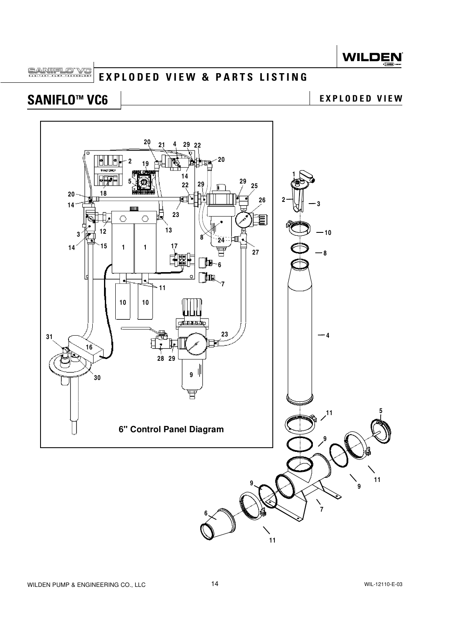<span id="page-15-0"></span>**SANIFLO EXPLODED VIEW & PARTS LISTING**

# SANIFLO<sup>™</sup> VC6 **LEADED VIEW** EXPLODED VIEW

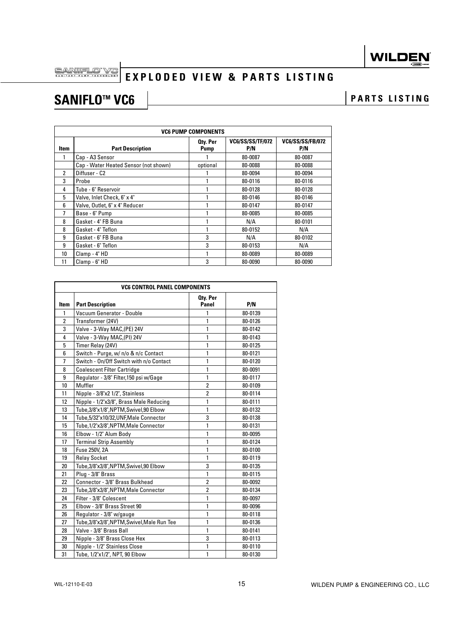# **EXPLODED VIEW & PARTS LISTING**

# SANIFLO<sup>™</sup> VC6 **PARTS** LISTING

| <b>VC6 PUMP COMPONENTS</b> |                                       |                         |                                |                                |  |
|----------------------------|---------------------------------------|-------------------------|--------------------------------|--------------------------------|--|
| Item                       | <b>Part Description</b>               | Oty. Per<br><b>Pump</b> | <b>VC6/SS/SS/TF/072</b><br>P/N | <b>VC6/SS/SS/FB/072</b><br>P/N |  |
| 1                          | Cap - A3 Sensor                       |                         | 80-0087                        | 80-0087                        |  |
|                            | Cap - Water Heated Sensor (not shown) | optional                | 80-0088                        | 80-0088                        |  |
| $\mathfrak{p}$             | Diffuser - C <sub>2</sub>             |                         | 80-0094                        | 80-0094                        |  |
| 3                          | Probe                                 |                         | 80-0116                        | 80-0116                        |  |
| 4                          | Tube - 6" Reservoir                   |                         | 80-0128                        | 80-0128                        |  |
| 5                          | Valve, Inlet Check, 6" x 4"           |                         | 80-0146                        | 80-0146                        |  |
| 6                          | Valve, Outlet, 6" x 4" Reducer        |                         | 80-0147                        | 80-0147                        |  |
|                            | Base - 6" Pump                        |                         | 80-0085                        | 80-0085                        |  |
| 8                          | Gasket - 4" FB Buna                   |                         | N/A                            | 80-0101                        |  |
| 8                          | Gasket - 4" Teflon                    |                         | 80-0152                        | N/A                            |  |
| 9                          | Gasket - 6" FB Buna                   | 3                       | N/A                            | 80-0102                        |  |
| 9                          | Gasket - 6" Teflon                    | 3                       | 80-0153                        | N/A                            |  |
| 10                         | Clamp - 4" HD                         |                         | 80-0089                        | 80-0089                        |  |
| 11                         | Clamp - 6" HD                         | 3                       | 80-0090                        | 80-0090                        |  |

|                | <b>VC6 CONTROL PANEL COMPONENTS</b>         |                         |         |  |  |
|----------------|---------------------------------------------|-------------------------|---------|--|--|
| <b>Item</b>    | <b>Part Description</b>                     | Oty. Per<br>Panel       | P/N     |  |  |
| 1              | Vacuum Generator - Double                   | 1                       | 80-0139 |  |  |
| $\overline{2}$ | Transformer (24V)                           | 1                       | 80-0126 |  |  |
| 3              | Valve - 3-Way MAC, (PE) 24V                 | 1                       | 80-0142 |  |  |
| 4              | Valve - 3-Way MAC, (PI) 24V                 | $\mathbf{1}$            | 80-0143 |  |  |
| 5              | Timer Relay (24V)                           | 1                       | 80-0125 |  |  |
| 6              | Switch - Purge, w/ n/o & n/c Contact        | 1                       | 80-0121 |  |  |
| 7              | Switch - On/Off Switch with n/o Contact     | 1                       | 80-0120 |  |  |
| 8              | <b>Coalescent Filter Cartridge</b>          | 1                       | 80-0091 |  |  |
| 9              | Regulator - 3/8" Filter, 150 psi w/Gage     | 1                       | 80-0117 |  |  |
| 10             | Muffler                                     | $\overline{\mathbf{2}}$ | 80-0109 |  |  |
| 11             | Nipple - 3/8"x2 1/2", Stainless             | $\overline{2}$          | 80-0114 |  |  |
| 12             | Nipple - 1/2"x3/8", Brass Male Reducing     | 1                       | 80-0111 |  |  |
| 13             | Tube,3/8"x1/8",NPTM,Swivel,90 Elbow         | 1                       | 80-0132 |  |  |
| 14             | Tube, 5/32"x10/32, UNF, Male Connector      | 3                       | 80-0138 |  |  |
| 15             | Tube, 1/2"x3/8", NPTM, Male Connector       | 1                       | 80-0131 |  |  |
| 16             | Elbow - 1/2" Alum Body                      | 1                       | 80-0095 |  |  |
| 17             | <b>Terminal Strip Assembly</b>              | 1                       | 80-0124 |  |  |
| 18             | Fuse 250V, 2A                               | 1                       | 80-0100 |  |  |
| 19             | <b>Relay Socket</b>                         | 1                       | 80-0119 |  |  |
| 20             | Tube, 3/8"x3/8", NPTM, Swivel, 90 Elbow     | 3                       | 80-0135 |  |  |
| 21             | Plug - 3/8" Brass                           | 1                       | 80-0115 |  |  |
| 22             | Connector - 3/8" Brass Bulkhead             | $\overline{\mathbf{2}}$ | 80-0092 |  |  |
| 23             | Tube, 3/8"x 3/8", NPTM, Male Connector      | $\overline{2}$          | 80-0134 |  |  |
| 24             | Filter - 3/8" Colescent                     | 1                       | 80-0097 |  |  |
| 25             | Elbow - 3/8" Brass Street 90                | 1                       | 80-0096 |  |  |
| 26             | Regulator - 3/8" w/gauge                    | 1                       | 80-0118 |  |  |
| 27             | Tube, 3/8"x3/8", NPTM, Swivel, Male Run Tee | 1                       | 80-0136 |  |  |
| 28             | Valve - 3/8" Brass Ball                     | 1                       | 80-0141 |  |  |
| 29             | Nipple - 3/8" Brass Close Hex               | 3                       | 80-0113 |  |  |
| 30             | Nipple - 1/2" Stainless Close               | 1                       | 80-0110 |  |  |
| 31             | Tube, 1/2"x1/2", NPT, 90 Elbow              | 1                       | 80-0130 |  |  |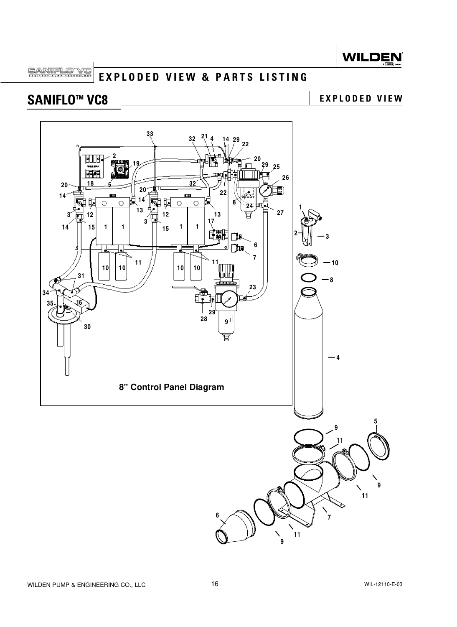<span id="page-17-0"></span>SANIFLO VC **EXPLODED VIEW & PARTS LISTING**

# SANIFLO<sup>™</sup> VC8 **LEADED VIEW** EXPLODED VIEW

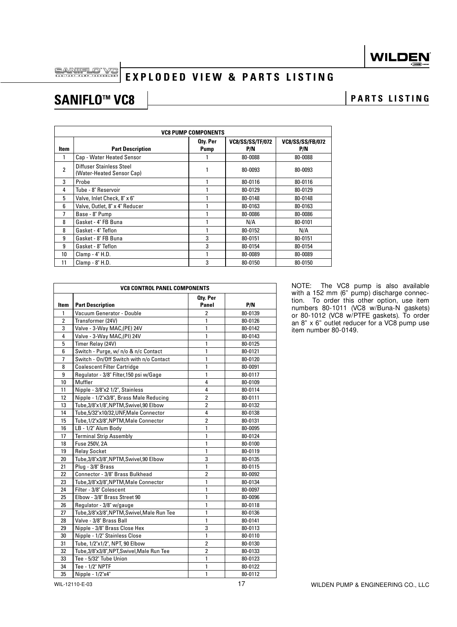SANIFLO VC

## **EXPLODED VIEW & PARTS LISTING**

## SANIFLO<sup>™</sup> VC8 **PARTS** LISTING

|      | <b>VC8 PUMP COMPONENTS</b>                            |                         |                                |                                |  |  |
|------|-------------------------------------------------------|-------------------------|--------------------------------|--------------------------------|--|--|
| Item | <b>Part Description</b>                               | Oty. Per<br><b>Pump</b> | <b>VC8/SS/SS/TF/072</b><br>P/N | <b>VC8/SS/SS/FB/072</b><br>P/N |  |  |
|      | Cap - Water Heated Sensor                             |                         | 80-0088                        | 80-0088                        |  |  |
| 2    | Diffuser Stainless Steel<br>(Water-Heated Sensor Cap) |                         | 80-0093                        | 80-0093                        |  |  |
| 3    | Probe                                                 |                         | 80-0116                        | 80-0116                        |  |  |
| 4    | Tube - 8" Reservoir                                   |                         | 80-0129                        | 80-0129                        |  |  |
| 5    | Valve, Inlet Check, 8" x 6"                           |                         | 80-0148                        | 80-0148                        |  |  |
| 6    | Valve, Outlet, 8" x 4" Reducer                        |                         | 80-0163                        | 80-0163                        |  |  |
| 7    | Base - 8" Pump                                        |                         | 80-0086                        | 80-0086                        |  |  |
| 8    | Gasket - 4" FB Buna                                   |                         | N/A                            | 80-0101                        |  |  |
| 8    | Gasket - 4" Teflon                                    |                         | 80-0152                        | N/A                            |  |  |
| 9    | Gasket - 8" FB Buna                                   | 3                       | 80-0151                        | 80-0151                        |  |  |
| 9    | Gasket - 8" Teflon                                    | 3                       | 80-0154                        | 80-0154                        |  |  |
| 10   | Clamp - 4" H.D.                                       |                         | 80-0089                        | 80-0089                        |  |  |
| 11   | Clamp - 8" H.D.                                       | 3                       | 80-0150                        | 80-0150                        |  |  |

|                | <b>VC8 CONTROL PANEL COMPONENTS</b>         |                   |         |  |
|----------------|---------------------------------------------|-------------------|---------|--|
| Item           | <b>Part Description</b>                     | Oty. Per<br>Panel | P/N     |  |
| $\mathbf{1}$   | Vacuum Generator - Double                   | $\overline{2}$    | 80-0139 |  |
| $\overline{2}$ | Transformer (24V)                           | 1                 | 80-0126 |  |
| 3              | Valve - 3-Way MAC, (PE) 24V                 | 1                 | 80-0142 |  |
| 4              | Valve - 3-Way MAC, (PI) 24V                 | $\mathbf{1}$      | 80-0143 |  |
| 5              | Timer Relay (24V)                           | 1                 | 80-0125 |  |
| 6              | Switch - Purge, w/ n/o & n/c Contact        | $\mathbf{1}$      | 80-0121 |  |
| 7              | Switch - On/Off Switch with n/o Contact     | $\mathbf{1}$      | 80-0120 |  |
| 8              | <b>Coalescent Filter Cartridge</b>          | $\mathbf{1}$      | 80-0091 |  |
| 9              | Regulator - 3/8" Filter, 150 psi w/Gage     | 1                 | 80-0117 |  |
| 10             | Muffler                                     | 4                 | 80-0109 |  |
| 11             | Nipple - 3/8"x2 1/2", Stainless             | 4                 | 80-0114 |  |
| 12             | Nipple - 1/2"x3/8", Brass Male Reducing     | $\overline{2}$    | 80-0111 |  |
| 13             | Tube, 3/8"x1/8", NPTM, Swivel, 90 Elbow     | $\overline{2}$    | 80-0132 |  |
| 14             | Tube, 5/32"x10/32, UNF, Male Connector      | 4                 | 80-0138 |  |
| 15             | Tube, 1/2"x3/8", NPTM, Male Connector       | $\overline{2}$    | 80-0131 |  |
| 16             | LB - 1/2" Alum Body                         | 1                 | 80-0095 |  |
| 17             | <b>Terminal Strip Assembly</b>              | $\mathbf{1}$      | 80-0124 |  |
| 18             | Fuse 250V, 2A                               | $\mathbf{1}$      | 80-0100 |  |
| 19             | <b>Relay Socket</b>                         | $\mathbf{1}$      | 80-0119 |  |
| 20             | Tube, 3/8"x3/8", NPTM, Swivel, 90 Elbow     | 3                 | 80-0135 |  |
| 21             | Plug - 3/8" Brass                           | 1                 | 80-0115 |  |
| 22             | Connector - 3/8" Brass Bulkhead             | $\overline{2}$    | 80-0092 |  |
| 23             | Tube, 3/8"x 3/8", NPTM, Male Connector      | 1                 | 80-0134 |  |
| 24             | Filter - 3/8" Colescent                     | 1                 | 80-0097 |  |
| 25             | Elbow - 3/8" Brass Street 90                | 1                 | 80-0096 |  |
| 26             | Regulator - 3/8" w/gauge                    | 1                 | 80-0118 |  |
| 27             | Tube, 3/8"x3/8", NPTM, Swivel, Male Run Tee | $\mathbf{1}$      | 80-0136 |  |
| 28             | Valve - 3/8" Brass Ball                     | $\mathbf{1}$      | 80-0141 |  |
| 29             | Nipple - 3/8" Brass Close Hex               | 3                 | 80-0113 |  |
| 30             | Nipple - 1/2" Stainless Close               | $\mathbf{1}$      | 80-0110 |  |
| 31             | Tube, 1/2"x1/2", NPT, 90 Elbow              | $\overline{2}$    | 80-0130 |  |
| 32             | Tube,3/8"x3/8",NPT,Swivel,Male Run Tee      | $\overline{2}$    | 80-0133 |  |
| 33             | Tee - 5/32" Tube Union                      | $\mathbf{1}$      | 80-0123 |  |
| 34             | Tee - 1/2" NPTF                             | 1                 | 80-0122 |  |
| 35             | Nipple - 1/2"x4"                            | $\mathbf{1}$      | 80-0112 |  |

NOTE: The VC8 pump is also available with a 152 mm (6" pump) discharge connection. To order this other option, use item numbers 80-1011 (VC8 w/Buna-N gaskets) or 80-1012 (VC8 w/PTFE gaskets). To order an 8" x 6" outlet reducer for a VC8 pump use item number 80-0149.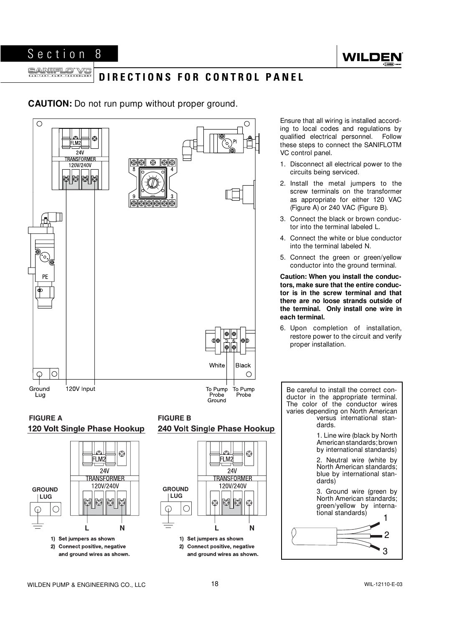

#### <span id="page-19-0"></span>**SANIFLO RANITARY PUMP TECHNOLOGY DIRECTIONS FOR CONTROL PANEL**

**CAUTION:** Do not run pump without proper ground.



Ensure that all wiring is installed according to local codes and regulations by qualified electrical personnel. Follow these steps to connect the SANIFLOTM VC control panel.

- 1. Disconnect all electrical power to the circuits being serviced.
- 2. Install the metal jumpers to the screw terminals on the transformer as appropriate for either 120 VAC (Figure A) or 240 VAC (Figure B).
- 3. Connect the black or brown conductor into the terminal labeled L.
- 4. Connect the white or blue conductor into the terminal labeled N.
- 5. Connect the green or green/yellow conductor into the ground terminal.

**Caution: When you install the conductors, make sure that the entire conductor is in the screw terminal and that there are no loose strands outside of the terminal. Only install one wire in each terminal.**

6. Upon completion of installation, restore power to the circuit and verify proper installation.

Be careful to install the correct conductor in the appropriate terminal. The color of the conductor wires varies depending on North American versus international standards.

> 1. Line wire (black by North American standards; brown by international standards)

> 2. Neutral wire (white by North American standards; blue by international standards)

3. Ground wire (green by North American standards; green/yellow by international standards) <sup>1</sup>



WILDEN PUMP & ENGINEERING CO., LLC 18 18 18 WIL-12110-E-03

**L**

2) Connect positive, negative

and ground wires as shown.

1) Set jumpers as shown

**N**

**L**

2) Connect positive, negative

and ground wires as shown.

1) Set jumpers as shown

**N**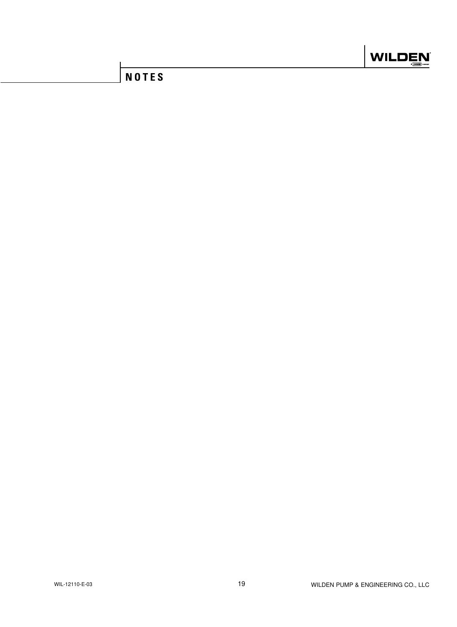

## **NOTES**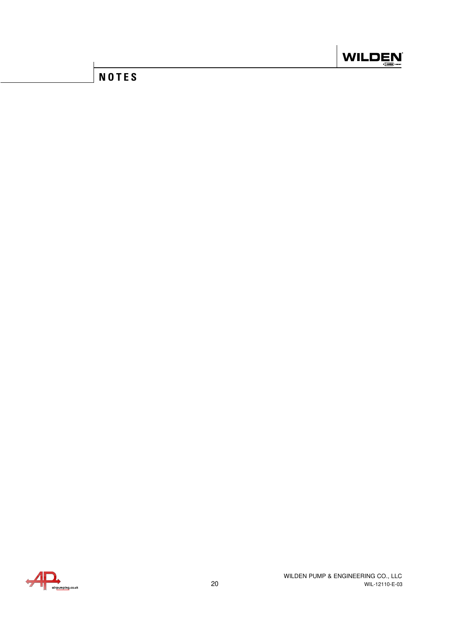

## **NOTES**